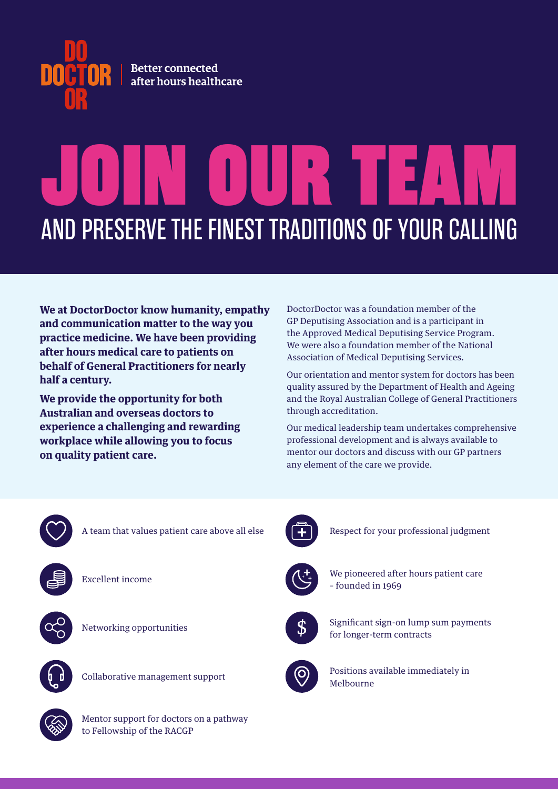

## JOIN OUR TEAM AND PRESERVE THE FINEST TRADITIONS OF YOUR CALLING

**We at DoctorDoctor know humanity, empathy and communication matter to the way you practice medicine. We have been providing after hours medical care to patients on behalf of General Practitioners for nearly half a century.** 

**We provide the opportunity for both Australian and overseas doctors to experience a challenging and rewarding workplace while allowing you to focus on quality patient care.** 

DoctorDoctor was a foundation member of the GP Deputising Association and is a participant in the Approved Medical Deputising Service Program. We were also a foundation member of the National Association of Medical Deputising Services.

Our orientation and mentor system for doctors has been quality assured by the Department of Health and Ageing and the Royal Australian College of General Practitioners through accreditation.

Our medical leadership team undertakes comprehensive professional development and is always available to mentor our doctors and discuss with our GP partners any element of the care we provide.



A team that values patient care above all else



Excellent income



Networking opportunities



Collaborative management support



Respect for your professional judgment



We pioneered after hours patient care – founded in 1969



Significant sign-on lump sum payments for longer-term contracts



Positions available immediately in Melbourne



Mentor support for doctors on a pathway to Fellowship of the RACGP